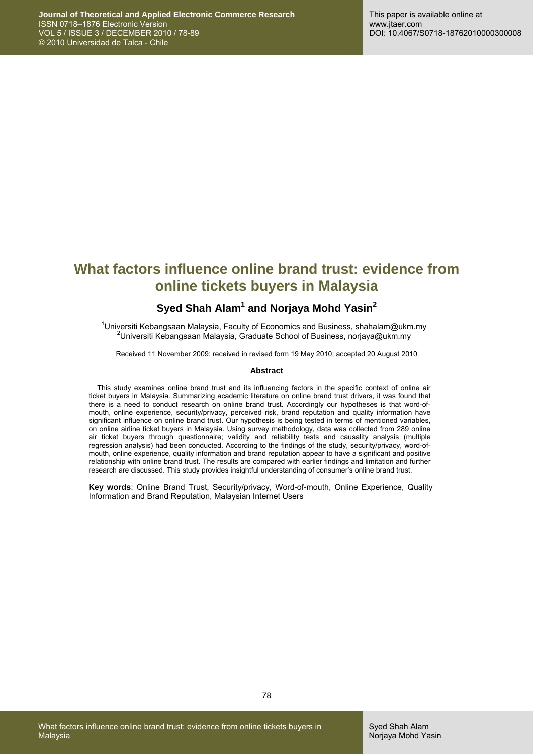# **What factors influence online brand trust: evidence from online tickets buyers in Malaysia**

### **Syed Shah Alam1 and Norjaya Mohd Yasin2**

<sup>1</sup>Universiti Kebangsaan Malaysia, Faculty of Economics and Business, shahalam@ukm.my  $2$ Universiti Kebangsaan Malaysia, Graduate School of Business, norjaya@ukm.my

Received 11 November 2009; received in revised form 19 May 2010; accepted 20 August 2010

#### **Abstract**

This study examines online brand trust and its influencing factors in the specific context of online air ticket buyers in Malaysia. Summarizing academic literature on online brand trust drivers, it was found that there is a need to conduct research on online brand trust. Accordingly our hypotheses is that word-ofmouth, online experience, security/privacy, perceived risk, brand reputation and quality information have significant influence on online brand trust. Our hypothesis is being tested in terms of mentioned variables, on online airline ticket buyers in Malaysia. Using survey methodology, data was collected from 289 online air ticket buyers through questionnaire; validity and reliability tests and causality analysis (multiple regression analysis) had been conducted. According to the findings of the study, security/privacy, word-ofmouth, online experience, quality information and brand reputation appear to have a significant and positive relationship with online brand trust. The results are compared with earlier findings and limitation and further research are discussed. This study provides insightful understanding of consumer's online brand trust.

**Key words**: Online Brand Trust, Security/privacy, Word-of-mouth, Online Experience, Quality Information and Brand Reputation, Malaysian Internet Users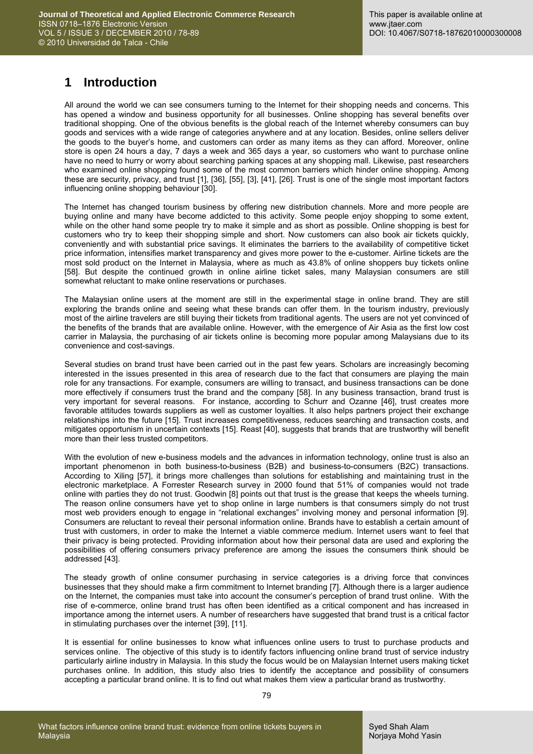### **1 Introduction**

All around the world we can see consumers turning to the Internet for their shopping needs and concerns. This has opened a window and business opportunity for all businesses. Online shopping has several benefits over traditional shopping. One of the obvious benefits is the global reach of the Internet whereby consumers can buy goods and services with a wide range of categories anywhere and at any location. Besides, online sellers deliver the goods to the buyer's home, and customers can order as many items as they can afford. Moreover, online store is open 24 hours a day, 7 days a week and 365 days a year, so customers who want to purchase online have no need to hurry or worry about searching parking spaces at any shopping mall. Likewise, past researchers who examined online shopping found some of the most common barriers which hinder online shopping. Among these are security, privacy, and trust [1], [36], [55], [3], [41], [26]. Trust is one of the single most important factors influencing online shopping behaviour [30].

The Internet has changed tourism business by offering new distribution channels. More and more people are buying online and many have become addicted to this activity. Some people enjoy shopping to some extent, while on the other hand some people try to make it simple and as short as possible. Online shopping is best for customers who try to keep their shopping simple and short. Now customers can also book air tickets quickly, conveniently and with substantial price savings. It eliminates the barriers to the availability of competitive ticket price information, intensifies market transparency and gives more power to the e-customer. Airline tickets are the most sold product on the Internet in Malaysia, where as much as 43.8% of online shoppers buy tickets online [58]. But despite the continued growth in online airline ticket sales, many Malaysian consumers are still somewhat reluctant to make online reservations or purchases.

The Malaysian online users at the moment are still in the experimental stage in online brand. They are still exploring the brands online and seeing what these brands can offer them. In the tourism industry, previously most of the airline travelers are still buying their tickets from traditional agents. The users are not yet convinced of the benefits of the brands that are available online. However, with the emergence of Air Asia as the first low cost carrier in Malaysia, the purchasing of air tickets online is becoming more popular among Malaysians due to its convenience and cost-savings.

Several studies on brand trust have been carried out in the past few years. Scholars are increasingly becoming interested in the issues presented in this area of research due to the fact that consumers are playing the main role for any transactions. For example, consumers are willing to transact, and business transactions can be done more effectively if consumers trust the brand and the company [58]. In any business transaction, brand trust is very important for several reasons. For instance, according to Schurr and Ozanne [46], trust creates more favorable attitudes towards suppliers as well as customer loyalties. It also helps partners project their exchange relationships into the future [15]. Trust increases competitiveness, reduces searching and transaction costs, and mitigates opportunism in uncertain contexts [15]. Reast [40], suggests that brands that are trustworthy will benefit more than their less trusted competitors.

With the evolution of new e-business models and the advances in information technology, online trust is also an important phenomenon in both business-to-business (B2B) and business-to-consumers (B2C) transactions. According to Xiling [57], it brings more challenges than solutions for establishing and maintaining trust in the electronic marketplace. A Forrester Research survey in 2000 found that 51% of companies would not trade online with parties they do not trust. Goodwin [8] points out that trust is the grease that keeps the wheels turning. The reason online consumers have yet to shop online in large numbers is that consumers simply do not trust most web providers enough to engage in "relational exchanges" involving money and personal information [9]. Consumers are reluctant to reveal their personal information online. Brands have to establish a certain amount of trust with customers, in order to make the Internet a viable commerce medium. Internet users want to feel that their privacy is being protected. Providing information about how their personal data are used and exploring the possibilities of offering consumers privacy preference are among the issues the consumers think should be addressed [43].

The steady growth of online consumer purchasing in service categories is a driving force that convinces businesses that they should make a firm commitment to Internet branding [7]. Although there is a larger audience on the Internet, the companies must take into account the consumer's perception of brand trust online. With the rise of e-commerce, online brand trust has often been identified as a critical component and has increased in importance among the internet users. A number of researchers have suggested that brand trust is a critical factor in stimulating purchases over the internet [39], [11].

It is essential for online businesses to know what influences online users to trust to purchase products and services online. The objective of this study is to identify factors influencing online brand trust of service industry particularly airline industry in Malaysia. In this study the focus would be on Malaysian Internet users making ticket purchases online. In addition, this study also tries to identify the acceptance and possibility of consumers accepting a particular brand online. It is to find out what makes them view a particular brand as trustworthy.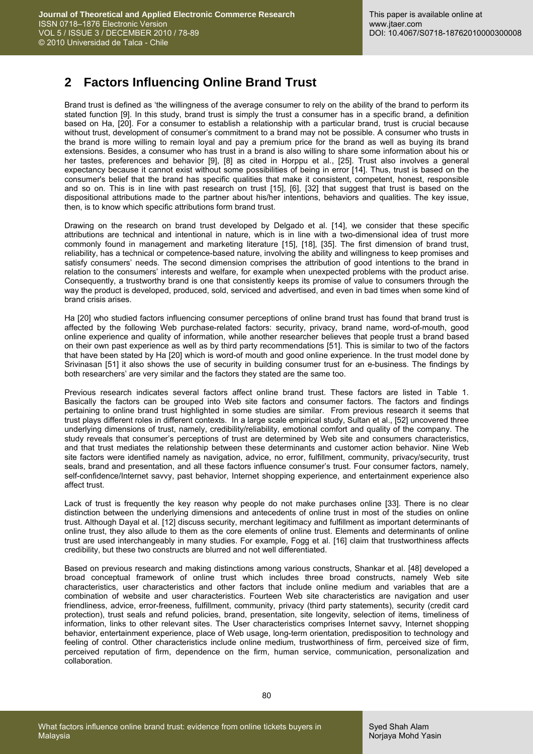## **2 Factors Influencing Online Brand Trust**

Brand trust is defined as 'the willingness of the average consumer to rely on the ability of the brand to perform its stated function [9]. In this study, brand trust is simply the trust a consumer has in a specific brand, a definition based on Ha, [20]. For a consumer to establish a relationship with a particular brand, trust is crucial because without trust, development of consumer's commitment to a brand may not be possible. A consumer who trusts in the brand is more willing to remain loyal and pay a premium price for the brand as well as buying its brand extensions. Besides, a consumer who has trust in a brand is also willing to share some information about his or her tastes, preferences and behavior [9], [8] as cited in Horppu et al., [25]. Trust also involves a general expectancy because it cannot exist without some possibilities of being in error [14]. Thus, trust is based on the consumer's belief that the brand has specific qualities that make it consistent, competent, honest, responsible and so on. This is in line with past research on trust [15], [6], [32] that suggest that trust is based on the dispositional attributions made to the partner about his/her intentions, behaviors and qualities. The key issue, then, is to know which specific attributions form brand trust.

Drawing on the research on brand trust developed by Delgado et al. [14], we consider that these specific attributions are technical and intentional in nature, which is in line with a two-dimensional idea of trust more commonly found in management and marketing literature [15], [18], [35]. The first dimension of brand trust, reliability, has a technical or competence-based nature, involving the ability and willingness to keep promises and satisfy consumers' needs. The second dimension comprises the attribution of good intentions to the brand in relation to the consumers' interests and welfare, for example when unexpected problems with the product arise. Consequently, a trustworthy brand is one that consistently keeps its promise of value to consumers through the way the product is developed, produced, sold, serviced and advertised, and even in bad times when some kind of brand crisis arises.

Ha [20] who studied factors influencing consumer perceptions of online brand trust has found that brand trust is affected by the following Web purchase-related factors: security, privacy, brand name, word-of-mouth, good online experience and quality of information, while another researcher believes that people trust a brand based on their own past experience as well as by third party recommendations [51]. This is similar to two of the factors that have been stated by Ha [20] which is word-of mouth and good online experience. In the trust model done by Srivinasan [51] it also shows the use of security in building consumer trust for an e-business. The findings by both researchers' are very similar and the factors they stated are the same too.

Previous research indicates several factors affect online brand trust. These factors are listed in Table 1. Basically the factors can be grouped into Web site factors and consumer factors. The factors and findings pertaining to online brand trust highlighted in some studies are similar. From previous research it seems that trust plays different roles in different contexts. In a large scale empirical study, Sultan et al., [52] uncovered three underlying dimensions of trust, namely, credibility/reliability, emotional comfort and quality of the company. The study reveals that consumer's perceptions of trust are determined by Web site and consumers characteristics, and that trust mediates the relationship between these determinants and customer action behavior. Nine Web site factors were identified namely as navigation, advice, no error, fulfillment, community, privacy/security, trust seals, brand and presentation, and all these factors influence consumer's trust. Four consumer factors, namely, self-confidence/Internet savvy, past behavior, Internet shopping experience, and entertainment experience also affect trust.

Lack of trust is frequently the key reason why people do not make purchases online [33]. There is no clear distinction between the underlying dimensions and antecedents of online trust in most of the studies on online trust. Although Dayal et al. [12] discuss security, merchant legitimacy and fulfillment as important determinants of online trust, they also allude to them as the core elements of online trust. Elements and determinants of online trust are used interchangeably in many studies. For example, Fogg et al. [16] claim that trustworthiness affects credibility, but these two constructs are blurred and not well differentiated.

Based on previous research and making distinctions among various constructs, Shankar et al. [48] developed a broad conceptual framework of online trust which includes three broad constructs, namely Web site characteristics, user characteristics and other factors that include online medium and variables that are a combination of website and user characteristics. Fourteen Web site characteristics are navigation and user friendliness, advice, error-freeness, fulfillment, community, privacy (third party statements), security (credit card protection), trust seals and refund policies, brand, presentation, site longevity, selection of items, timeliness of information, links to other relevant sites. The User characteristics comprises Internet savvy, Internet shopping behavior, entertainment experience, place of Web usage, long-term orientation, predisposition to technology and feeling of control. Other characteristics include online medium, trustworthiness of firm, perceived size of firm, perceived reputation of firm, dependence on the firm, human service, communication, personalization and collaboration.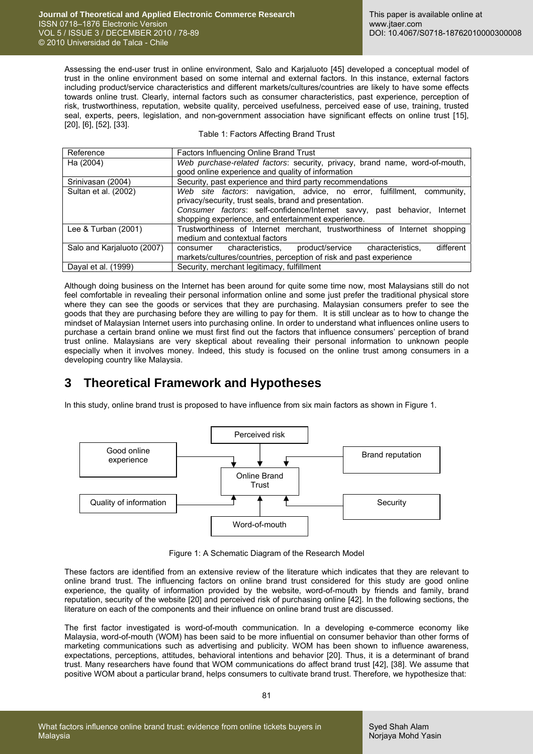Assessing the end-user trust in online environment, Salo and Karjaluoto [45] developed a conceptual model of trust in the online environment based on some internal and external factors. In this instance, external factors including product/service characteristics and different markets/cultures/countries are likely to have some effects towards online trust. Clearly, internal factors such as consumer characteristics, past experience, perception of risk, trustworthiness, reputation, website quality, perceived usefulness, perceived ease of use, training, trusted seal, experts, peers, legislation, and non-government association have significant effects on online trust [15], [20], [6], [52], [33].

Table 1: Factors Affecting Brand Trust

| Reference                  | Factors Influencing Online Brand Trust                                                                                                                                                                         |  |  |
|----------------------------|----------------------------------------------------------------------------------------------------------------------------------------------------------------------------------------------------------------|--|--|
| Ha (2004)                  | Web purchase-related factors: security, privacy, brand name, word-of-mouth,                                                                                                                                    |  |  |
|                            | good online experience and quality of information                                                                                                                                                              |  |  |
| Srinivasan (2004)          | Security, past experience and third party recommendations                                                                                                                                                      |  |  |
| Sultan et al. (2002)       | Web site factors: navigation, advice, no error, fulfillment, community,<br>privacy/security, trust seals, brand and presentation.<br>Consumer factors: self-confidence/Internet savvy, past behavior, Internet |  |  |
|                            | shopping experience, and entertainment experience.                                                                                                                                                             |  |  |
| Lee $&$ Turban (2001)      | Trustworthiness of Internet merchant, trustworthiness of Internet shopping<br>medium and contextual factors                                                                                                    |  |  |
| Salo and Karjaluoto (2007) | different<br>product/service characteristics.<br>consumer characteristics.<br>markets/cultures/countries, perception of risk and past experience                                                               |  |  |
| Dayal et al. (1999)        | Security, merchant legitimacy, fulfillment                                                                                                                                                                     |  |  |

Although doing business on the Internet has been around for quite some time now, most Malaysians still do not feel comfortable in revealing their personal information online and some just prefer the traditional physical store where they can see the goods or services that they are purchasing. Malaysian consumers prefer to see the goods that they are purchasing before they are willing to pay for them. It is still unclear as to how to change the mindset of Malaysian Internet users into purchasing online. In order to understand what influences online users to purchase a certain brand online we must first find out the factors that influence consumers' perception of brand trust online. Malaysians are very skeptical about revealing their personal information to unknown people especially when it involves money. Indeed, this study is focused on the online trust among consumers in a developing country like Malaysia.

# **3 Theoretical Framework and Hypotheses**

In this study, online brand trust is proposed to have influence from six main factors as shown in Figure 1.



Figure 1: A Schematic Diagram of the Research Model

These factors are identified from an extensive review of the literature which indicates that they are relevant to online brand trust. The influencing factors on online brand trust considered for this study are good online experience, the quality of information provided by the website, word-of-mouth by friends and family, brand reputation, security of the website [20] and perceived risk of purchasing online [42]. In the following sections, the literature on each of the components and their influence on online brand trust are discussed.

The first factor investigated is word-of-mouth communication. In a developing e-commerce economy like Malaysia, word-of-mouth (WOM) has been said to be more influential on consumer behavior than other forms of marketing communications such as advertising and publicity. WOM has been shown to influence awareness, expectations, perceptions, attitudes, behavioral intentions and behavior [20]. Thus, it is a determinant of brand trust. Many researchers have found that WOM communications do affect brand trust [42], [38]. We assume that positive WOM about a particular brand, helps consumers to cultivate brand trust. Therefore, we hypothesize that: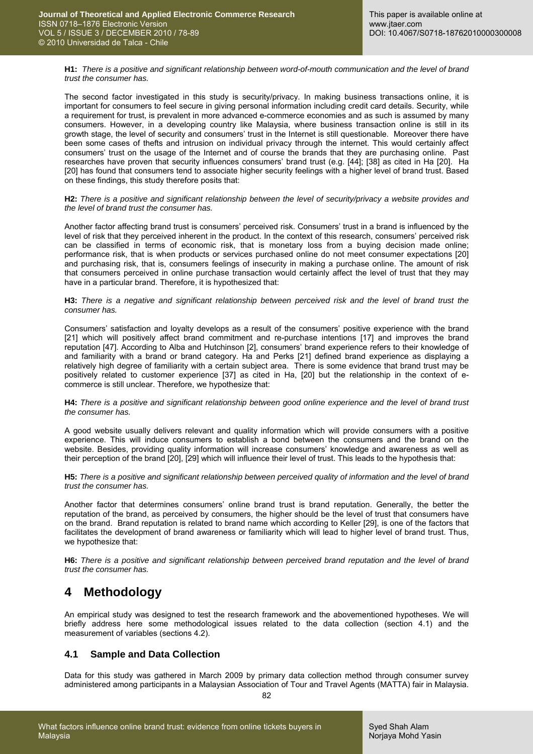**H1:** *There is a positive and significant relationship between word-of-mouth communication and the level of brand trust the consumer has.* 

The second factor investigated in this study is security/privacy. In making business transactions online, it is important for consumers to feel secure in giving personal information including credit card details. Security, while a requirement for trust, is prevalent in more advanced e-commerce economies and as such is assumed by many consumers. However, in a developing country like Malaysia, where business transaction online is still in its growth stage, the level of security and consumers' trust in the Internet is still questionable. Moreover there have been some cases of thefts and intrusion on individual privacy through the internet. This would certainly affect consumers' trust on the usage of the Internet and of course the brands that they are purchasing online. Past researches have proven that security influences consumers' brand trust (e.g. [44]; [38] as cited in Ha [20]. Ha [20] has found that consumers tend to associate higher security feelings with a higher level of brand trust. Based on these findings, this study therefore posits that:

**H2:** *There is a positive and significant relationship between the level of security/privacy a website provides and the level of brand trust the consumer has.*

Another factor affecting brand trust is consumers' perceived risk. Consumers' trust in a brand is influenced by the level of risk that they perceived inherent in the product. In the context of this research, consumers' perceived risk can be classified in terms of economic risk, that is monetary loss from a buying decision made online; performance risk, that is when products or services purchased online do not meet consumer expectations [20] and purchasing risk, that is, consumers feelings of insecurity in making a purchase online. The amount of risk that consumers perceived in online purchase transaction would certainly affect the level of trust that they may have in a particular brand. Therefore, it is hypothesized that:

**H3:** *There is a negative and significant relationship between perceived risk and the level of brand trust the consumer has.* 

Consumers' satisfaction and loyalty develops as a result of the consumers' positive experience with the brand [21] which will positively affect brand commitment and re-purchase intentions [17] and improves the brand reputation [47]. According to Alba and Hutchinson [2], consumers' brand experience refers to their knowledge of and familiarity with a brand or brand category. Ha and Perks [21] defined brand experience as displaying a relatively high degree of familiarity with a certain subject area. There is some evidence that brand trust may be positively related to customer experience [37] as cited in Ha, [20] but the relationship in the context of ecommerce is still unclear. Therefore, we hypothesize that:

**H4:** *There is a positive and significant relationship between good online experience and the level of brand trust the consumer has.*

A good website usually delivers relevant and quality information which will provide consumers with a positive experience. This will induce consumers to establish a bond between the consumers and the brand on the website. Besides, providing quality information will increase consumers' knowledge and awareness as well as their perception of the brand [20], [29] which will influence their level of trust. This leads to the hypothesis that:

**H5:** *There is a positive and significant relationship between perceived quality of information and the level of brand trust the consumer has.* 

Another factor that determines consumers' online brand trust is brand reputation. Generally, the better the reputation of the brand, as perceived by consumers, the higher should be the level of trust that consumers have on the brand. Brand reputation is related to brand name which according to Keller [29], is one of the factors that facilitates the development of brand awareness or familiarity which will lead to higher level of brand trust. Thus, we hypothesize that:

**H6:** *There is a positive and significant relationship between perceived brand reputation and the level of brand trust the consumer has.* 

# **4 Methodology**

An empirical study was designed to test the research framework and the abovementioned hypotheses. We will briefly address here some methodological issues related to the data collection (section 4.1) and the measurement of variables (sections 4.2).

### **4.1 Sample and Data Collection**

Data for this study was gathered in March 2009 by primary data collection method through consumer survey administered among participants in a Malaysian Association of Tour and Travel Agents (MATTA) fair in Malaysia.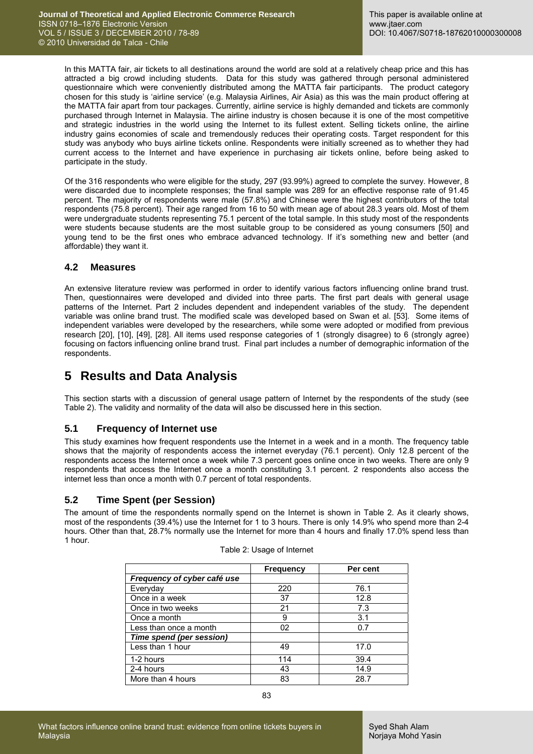In this MATTA fair, air tickets to all destinations around the world are sold at a relatively cheap price and this has attracted a big crowd including students. Data for this study was gathered through personal administered questionnaire which were conveniently distributed among the MATTA fair participants. The product category chosen for this study is 'airline service' (e.g. Malaysia Airlines, Air Asia) as this was the main product offering at the MATTA fair apart from tour packages. Currently, airline service is highly demanded and tickets are commonly purchased through Internet in Malaysia. The airline industry is chosen because it is one of the most competitive and strategic industries in the world using the Internet to its fullest extent. Selling tickets online, the airline industry gains economies of scale and tremendously reduces their operating costs. Target respondent for this study was anybody who buys airline tickets online. Respondents were initially screened as to whether they had current access to the Internet and have experience in purchasing air tickets online, before being asked to participate in the study.

Of the 316 respondents who were eligible for the study, 297 (93.99%) agreed to complete the survey. However, 8 were discarded due to incomplete responses; the final sample was 289 for an effective response rate of 91.45 percent. The majority of respondents were male (57.8%) and Chinese were the highest contributors of the total respondents (75.8 percent). Their age ranged from 16 to 50 with mean age of about 28.3 years old. Most of them were undergraduate students representing 75.1 percent of the total sample. In this study most of the respondents were students because students are the most suitable group to be considered as young consumers [50] and young tend to be the first ones who embrace advanced technology. If it's something new and better (and affordable) they want it.

### **4.2 Measures**

An extensive literature review was performed in order to identify various factors influencing online brand trust. Then, questionnaires were developed and divided into three parts. The first part deals with general usage patterns of the Internet. Part 2 includes dependent and independent variables of the study. The dependent variable was online brand trust. The modified scale was developed based on Swan et al. [53]. Some items of independent variables were developed by the researchers, while some were adopted or modified from previous research [20], [10], [49], [28]. All items used response categories of 1 (strongly disagree) to 6 (strongly agree) focusing on factors influencing online brand trust. Final part includes a number of demographic information of the respondents.

### **5 Results and Data Analysis**

This section starts with a discussion of general usage pattern of Internet by the respondents of the study (see Table 2). The validity and normality of the data will also be discussed here in this section.

### **5.1 Frequency of Internet use**

This study examines how frequent respondents use the Internet in a week and in a month. The frequency table shows that the majority of respondents access the internet everyday (76.1 percent). Only 12.8 percent of the respondents access the Internet once a week while 7.3 percent goes online once in two weeks. There are only 9 respondents that access the Internet once a month constituting 3.1 percent. 2 respondents also access the internet less than once a month with 0.7 percent of total respondents.

### **5.2 Time Spent (per Session)**

The amount of time the respondents normally spend on the Internet is shown in Table 2. As it clearly shows, most of the respondents (39.4%) use the Internet for 1 to 3 hours. There is only 14.9% who spend more than 2-4 hours. Other than that, 28.7% normally use the Internet for more than 4 hours and finally 17.0% spend less than 1 hour.

|                             | <b>Frequency</b> | Per cent |
|-----------------------------|------------------|----------|
| Frequency of cyber café use |                  |          |
| Everyday                    | 220              | 76.1     |
| Once in a week              | 37               | 12.8     |
| Once in two weeks           | 21               | 7.3      |
| Once a month                | 9                | 3.1      |
| Less than once a month      | 02               | 0.7      |
| Time spend (per session)    |                  |          |
| Less than 1 hour            | 49               | 17.0     |
| 1-2 hours                   | 114              | 39.4     |
| 2-4 hours                   | 43               | 14.9     |
| More than 4 hours           | 83               | 28.7     |

| Table 2: Usage of Internet |
|----------------------------|
|----------------------------|

Syed Shah Alam Norjaya Mohd Yasin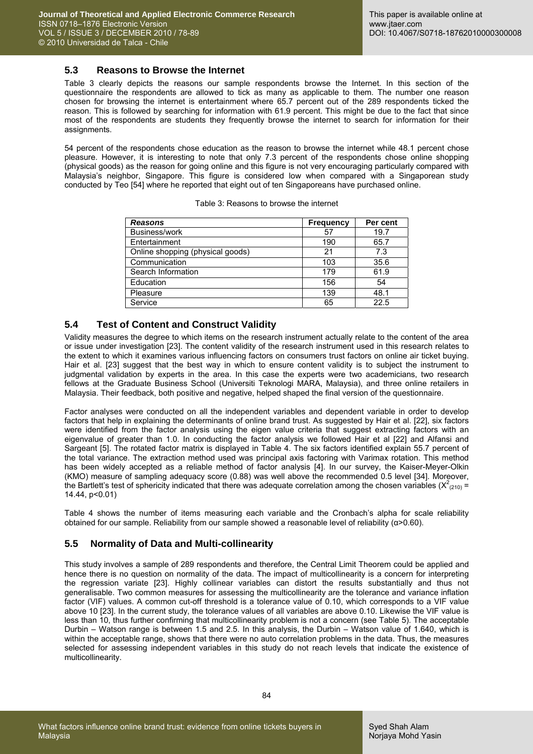#### **5.3 Reasons to Browse the Internet**

Table 3 clearly depicts the reasons our sample respondents browse the Internet. In this section of the questionnaire the respondents are allowed to tick as many as applicable to them. The number one reason chosen for browsing the internet is entertainment where 65.7 percent out of the 289 respondents ticked the reason. This is followed by searching for information with 61.9 percent. This might be due to the fact that since most of the respondents are students they frequently browse the internet to search for information for their assignments.

54 percent of the respondents chose education as the reason to browse the internet while 48.1 percent chose pleasure. However, it is interesting to note that only 7.3 percent of the respondents chose online shopping (physical goods) as the reason for going online and this figure is not very encouraging particularly compared with Malaysia's neighbor, Singapore. This figure is considered low when compared with a Singaporean study conducted by Teo [54] where he reported that eight out of ten Singaporeans have purchased online.

| <b>Reasons</b>                   | <b>Frequency</b> | Per cent |
|----------------------------------|------------------|----------|
| Business/work                    | 57               | 19.7     |
| Entertainment                    | 190              | 65.7     |
| Online shopping (physical goods) | 21               | 7.3      |
| Communication                    | 103              | 35.6     |
| Search Information               | 179              | 61.9     |
| Education                        | 156              | 54       |
| Pleasure                         | 139              | 48.1     |
| Service                          | 65               | 22.5     |

Table 3: Reasons to browse the internet

### **5.4 Test of Content and Construct Validity**

Validity measures the degree to which items on the research instrument actually relate to the content of the area or issue under investigation [23]. The content validity of the research instrument used in this research relates to the extent to which it examines various influencing factors on consumers trust factors on online air ticket buying. Hair et al. [23] suggest that the best way in which to ensure content validity is to subject the instrument to judgmental validation by experts in the area. In this case the experts were two academicians, two research fellows at the Graduate Business School (Universiti Teknologi MARA, Malaysia), and three online retailers in Malaysia. Their feedback, both positive and negative, helped shaped the final version of the questionnaire.

Factor analyses were conducted on all the independent variables and dependent variable in order to develop factors that help in explaining the determinants of online brand trust. As suggested by Hair et al. [22], six factors were identified from the factor analysis using the eigen value criteria that suggest extracting factors with an eigenvalue of greater than 1.0. In conducting the factor analysis we followed Hair et al [22] and Alfansi and Sargeant [5]. The rotated factor matrix is displayed in Table 4. The six factors identified explain 55.7 percent of the total variance. The extraction method used was principal axis factoring with Varimax rotation. This method has been widely accepted as a reliable method of factor analysis [4]. In our survey, the Kaiser-Meyer-Olkin (KMO) measure of sampling adequacy score (0.88) was well above the recommended 0.5 level [34]. Moreover, the Bartlett's test of sphericity indicated that there was adequate correlation among the chosen variables ( $X^2_{(210)}$  = 14.44, p<0.01)

Table 4 shows the number of items measuring each variable and the Cronbach's alpha for scale reliability obtained for our sample. Reliability from our sample showed a reasonable level of reliability (α>0.60).

### **5.5 Normality of Data and Multi-collinearity**

This study involves a sample of 289 respondents and therefore, the Central Limit Theorem could be applied and hence there is no question on normality of the data. The impact of multicollinearity is a concern for interpreting the regression variate [23]. Highly collinear variables can distort the results substantially and thus not generalisable. Two common measures for assessing the multicollinearity are the tolerance and variance inflation factor (VIF) values. A common cut-off threshold is a tolerance value of 0.10, which corresponds to a VIF value above 10 [23]. In the current study, the tolerance values of all variables are above 0.10. Likewise the VIF value is less than 10, thus further confirming that multicollinearity problem is not a concern (see Table 5). The acceptable Durbin – Watson range is between 1.5 and 2.5. In this analysis, the Durbin – Watson value of 1.640, which is within the acceptable range, shows that there were no auto correlation problems in the data. Thus, the measures selected for assessing independent variables in this study do not reach levels that indicate the existence of multicollinearity.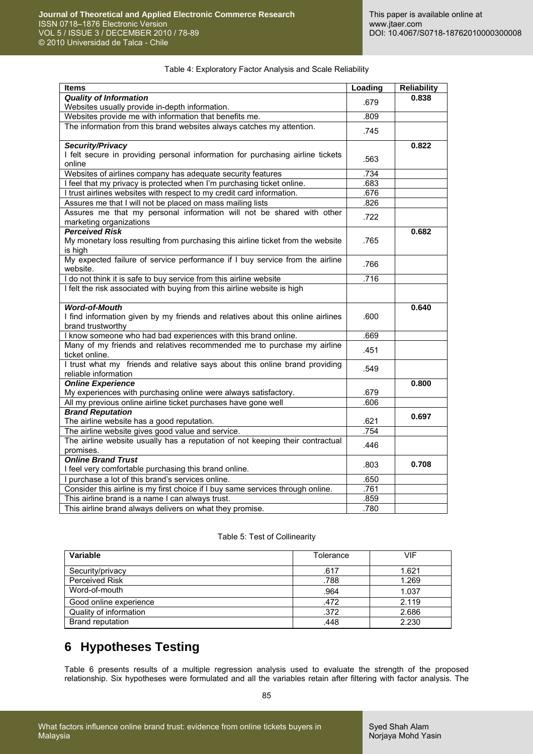|  | Table 4: Exploratory Factor Analysis and Scale Reliability |  |
|--|------------------------------------------------------------|--|
|--|------------------------------------------------------------|--|

| <b>Items</b>                                                                                                                 | Loading | <b>Reliability</b> |
|------------------------------------------------------------------------------------------------------------------------------|---------|--------------------|
| <b>Quality of Information</b>                                                                                                | .679    | 0.838              |
| Websites usually provide in-depth information.                                                                               |         |                    |
| Websites provide me with information that benefits me.                                                                       | .809    |                    |
| The information from this brand websites always catches my attention.                                                        | .745    |                    |
| Security/Privacy                                                                                                             |         | 0.822              |
| I felt secure in providing personal information for purchasing airline tickets<br>online                                     | .563    |                    |
| Websites of airlines company has adequate security features                                                                  | .734    |                    |
| I feel that my privacy is protected when I'm purchasing ticket online.                                                       | .683    |                    |
| I trust airlines websites with respect to my credit card information.                                                        | .676    |                    |
| Assures me that I will not be placed on mass mailing lists                                                                   | .826    |                    |
| Assures me that my personal information will not be shared with other<br>marketing organizations                             | .722    |                    |
| <b>Perceived Risk</b>                                                                                                        |         | 0.682              |
| My monetary loss resulting from purchasing this airline ticket from the website<br>is hiah                                   | .765    |                    |
| My expected failure of service performance if I buy service from the airline<br>website.                                     | .766    |                    |
| I do not think it is safe to buy service from this airline website                                                           | .716    |                    |
| I felt the risk associated with buying from this airline website is high                                                     |         |                    |
| <b>Word-of-Mouth</b><br>I find information given by my friends and relatives about this online airlines<br>brand trustworthy |         | 0.640              |
| I know someone who had bad experiences with this brand online.                                                               | .669    |                    |
| Many of my friends and relatives recommended me to purchase my airline<br>ticket online.                                     | .451    |                    |
| I trust what my friends and relative says about this online brand providing<br>reliable information                          | .549    |                    |
| <b>Online Experience</b>                                                                                                     |         | 0.800              |
| My experiences with purchasing online were always satisfactory.                                                              | .679    |                    |
| All my previous online airline ticket purchases have gone well                                                               | .606    |                    |
| <b>Brand Reputation</b>                                                                                                      | .621    | 0.697              |
| The airline website has a good reputation.                                                                                   |         |                    |
| The airline website gives good value and service.                                                                            | .754    |                    |
| The airline website usually has a reputation of not keeping their contractual<br>promises.                                   | .446    |                    |
| <b>Online Brand Trust</b>                                                                                                    | .803    | 0.708              |
| I feel very comfortable purchasing this brand online.                                                                        | .650    |                    |
| I purchase a lot of this brand's services online.                                                                            |         |                    |
| Consider this airline is my first choice if I buy same services through online.                                              |         |                    |
| This airline brand is a name I can always trust.                                                                             | .859    |                    |
| This airline brand always delivers on what they promise.                                                                     | .780    |                    |

#### Table 5: Test of Collinearity

| Variable               | Tolerance | VIF   |
|------------------------|-----------|-------|
| Security/privacy       | .617      | 1.621 |
| <b>Perceived Risk</b>  | .788      | 1.269 |
| Word-of-mouth          | .964      | 1.037 |
| Good online experience | .472      | 2.119 |
| Quality of information | .372      | 2.686 |
| Brand reputation       | .448      | 2.230 |

## **6 Hypotheses Testing**

Table 6 presents results of a multiple regression analysis used to evaluate the strength of the proposed relationship. Six hypotheses were formulated and all the variables retain after filtering with factor analysis. The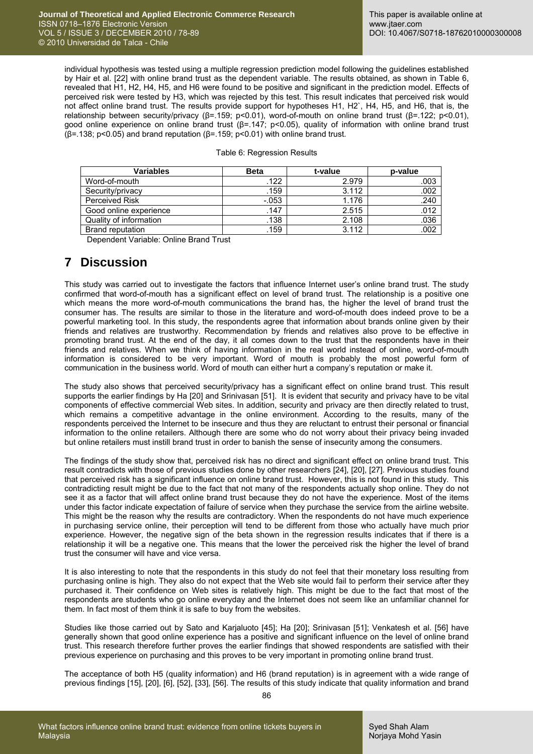individual hypothesis was tested using a multiple regression prediction model following the guidelines established by Hair et al. [22] with online brand trust as the dependent variable. The results obtained, as shown in Table 6, revealed that H1, H2, H4, H5, and H6 were found to be positive and significant in the prediction model. Effects of perceived risk were tested by H3, which was rejected by this test. This result indicates that perceived risk would not affect online brand trust. The results provide support for hypotheses H1, H2`, H4, H5, and H6, that is, the relationship between security/privacy (β=.159; p<0.01), word-of-mouth on online brand trust (β=.122; p<0.01), good online experience on online brand trust (β=.147; p<0.05), quality of information with online brand trust (β=.138; p<0.05) and brand reputation (β=.159; p<0.01) with online brand trust.

| Variables               | <b>Beta</b> | t-value | p-value |
|-------------------------|-------------|---------|---------|
| Word-of-mouth           | .122        | 2.979   | .003    |
| Security/privacy        | .159        | 3.112   | .002    |
| <b>Perceived Risk</b>   | $-.053$     | 1.176   | .240    |
| Good online experience  | 147         | 2.515   | .012    |
| Quality of information  | .138        | 2.108   | .036    |
| <b>Brand reputation</b> | 159         | 3.112   | .002    |

Dependent Variable: Online Brand Trust

### **7 Discussion**

This study was carried out to investigate the factors that influence Internet user's online brand trust. The study confirmed that word-of-mouth has a significant effect on level of brand trust. The relationship is a positive one which means the more word-of-mouth communications the brand has, the higher the level of brand trust the consumer has. The results are similar to those in the literature and word-of-mouth does indeed prove to be a powerful marketing tool. In this study, the respondents agree that information about brands online given by their friends and relatives are trustworthy. Recommendation by friends and relatives also prove to be effective in promoting brand trust. At the end of the day, it all comes down to the trust that the respondents have in their friends and relatives. When we think of having information in the real world instead of online, word-of-mouth information is considered to be very important. Word of mouth is probably the most powerful form of communication in the business world. Word of mouth can either hurt a company's reputation or make it.

The study also shows that perceived security/privacy has a significant effect on online brand trust. This result supports the earlier findings by Ha [20] and Srinivasan [51]. It is evident that security and privacy have to be vital components of effective commercial Web sites. In addition, security and privacy are then directly related to trust, which remains a competitive advantage in the online environment. According to the results, many of the respondents perceived the Internet to be insecure and thus they are reluctant to entrust their personal or financial information to the online retailers. Although there are some who do not worry about their privacy being invaded but online retailers must instill brand trust in order to banish the sense of insecurity among the consumers.

The findings of the study show that, perceived risk has no direct and significant effect on online brand trust. This result contradicts with those of previous studies done by other researchers [24], [20], [27]. Previous studies found that perceived risk has a significant influence on online brand trust. However, this is not found in this study. This contradicting result might be due to the fact that not many of the respondents actually shop online. They do not see it as a factor that will affect online brand trust because they do not have the experience. Most of the items under this factor indicate expectation of failure of service when they purchase the service from the airline website. This might be the reason why the results are contradictory. When the respondents do not have much experience in purchasing service online, their perception will tend to be different from those who actually have much prior experience. However, the negative sign of the beta shown in the regression results indicates that if there is a relationship it will be a negative one. This means that the lower the perceived risk the higher the level of brand trust the consumer will have and vice versa.

It is also interesting to note that the respondents in this study do not feel that their monetary loss resulting from purchasing online is high. They also do not expect that the Web site would fail to perform their service after they purchased it. Their confidence on Web sites is relatively high. This might be due to the fact that most of the respondents are students who go online everyday and the Internet does not seem like an unfamiliar channel for them. In fact most of them think it is safe to buy from the websites.

Studies like those carried out by Sato and Karjaluoto [45]; Ha [20]; Srinivasan [51]; Venkatesh et al. [56] have generally shown that good online experience has a positive and significant influence on the level of online brand trust. This research therefore further proves the earlier findings that showed respondents are satisfied with their previous experience on purchasing and this proves to be very important in promoting online brand trust.

The acceptance of both H5 (quality information) and H6 (brand reputation) is in agreement with a wide range of previous findings [15], [20], [6], [52], [33], [56]. The results of this study indicate that quality information and brand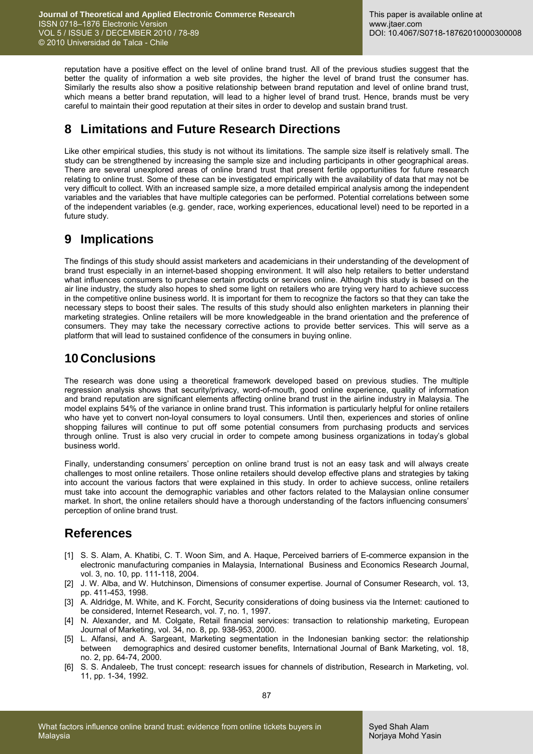reputation have a positive effect on the level of online brand trust. All of the previous studies suggest that the better the quality of information a web site provides, the higher the level of brand trust the consumer has. Similarly the results also show a positive relationship between brand reputation and level of online brand trust, which means a better brand reputation, will lead to a higher level of brand trust. Hence, brands must be very careful to maintain their good reputation at their sites in order to develop and sustain brand trust.

## **8 Limitations and Future Research Directions**

Like other empirical studies, this study is not without its limitations. The sample size itself is relatively small. The study can be strengthened by increasing the sample size and including participants in other geographical areas. There are several unexplored areas of online brand trust that present fertile opportunities for future research relating to online trust. Some of these can be investigated empirically with the availability of data that may not be very difficult to collect. With an increased sample size, a more detailed empirical analysis among the independent variables and the variables that have multiple categories can be performed. Potential correlations between some of the independent variables (e.g. gender, race, working experiences, educational level) need to be reported in a future study.

# **9 Implications**

The findings of this study should assist marketers and academicians in their understanding of the development of brand trust especially in an internet-based shopping environment. It will also help retailers to better understand what influences consumers to purchase certain products or services online. Although this study is based on the air line industry, the study also hopes to shed some light on retailers who are trying very hard to achieve success in the competitive online business world. It is important for them to recognize the factors so that they can take the necessary steps to boost their sales. The results of this study should also enlighten marketers in planning their marketing strategies. Online retailers will be more knowledgeable in the brand orientation and the preference of consumers. They may take the necessary corrective actions to provide better services. This will serve as a platform that will lead to sustained confidence of the consumers in buying online.

## **10 Conclusions**

The research was done using a theoretical framework developed based on previous studies. The multiple regression analysis shows that security/privacy, word-of-mouth, good online experience, quality of information and brand reputation are significant elements affecting online brand trust in the airline industry in Malaysia. The model explains 54% of the variance in online brand trust. This information is particularly helpful for online retailers who have yet to convert non-loyal consumers to loyal consumers. Until then, experiences and stories of online shopping failures will continue to put off some potential consumers from purchasing products and services through online. Trust is also very crucial in order to compete among business organizations in today's global business world.

Finally, understanding consumers' perception on online brand trust is not an easy task and will always create challenges to most online retailers. Those online retailers should develop effective plans and strategies by taking into account the various factors that were explained in this study. In order to achieve success, online retailers must take into account the demographic variables and other factors related to the Malaysian online consumer market. In short, the online retailers should have a thorough understanding of the factors influencing consumers' perception of online brand trust.

# **References**

- [1] S. S. Alam, A. Khatibi, C. T. Woon Sim, and A. Haque, Perceived barriers of E-commerce expansion in the electronic manufacturing companies in Malaysia, International Business and Economics Research Journal, vol. 3, no. 10, pp. 111-118, 2004.
- [2] J. W. Alba, and W. Hutchinson, Dimensions of consumer expertise. Journal of Consumer Research, vol. 13, pp. 411-453, 1998.
- [3] A. Aldridge, M. White, and K. Forcht, Security considerations of doing business via the Internet: cautioned to be considered, Internet Research, vol. 7, no. 1, 1997.
- [4] N. Alexander, and M. Colgate, Retail financial services: transaction to relationship marketing, European Journal of Marketing, vol. 34, no. 8, pp. 938-953, 2000.
- [5] L. Alfansi, and A. Sargeant, Marketing segmentation in the Indonesian banking sector: the relationship between demographics and desired customer benefits, International Journal of Bank Marketing, vol. 18, no. 2, pp. 64-74, 2000.
- [6] S. S. Andaleeb, The trust concept: research issues for channels of distribution, Research in Marketing, vol. 11, pp. 1-34, 1992.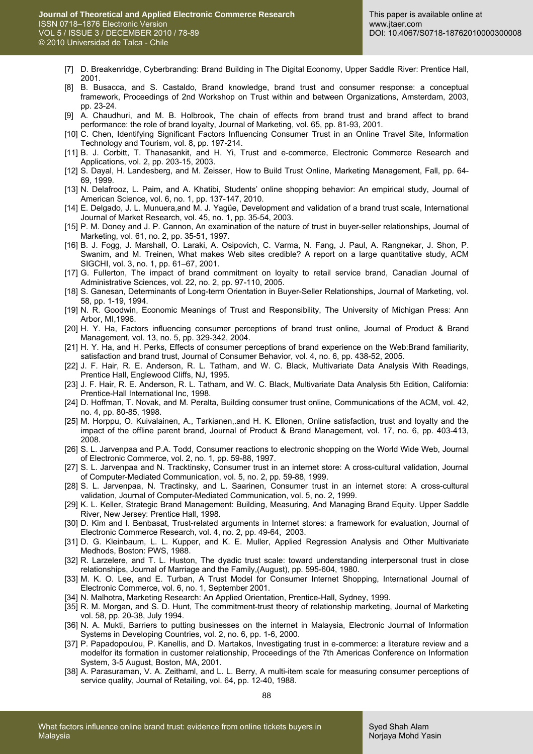- [7] D. Breakenridge, Cyberbranding: Brand Building in The Digital Economy, Upper Saddle River: Prentice Hall, 2001.
- [8] B. Busacca, and S. Castaldo, Brand knowledge, brand trust and consumer response: a conceptual framework, Proceedings of 2nd Workshop on Trust within and between Organizations, Amsterdam, 2003, pp. 23-24.
- [9] A. Chaudhuri, and M. B. Holbrook, The chain of effects from brand trust and brand affect to brand performance: the role of brand loyalty, Journal of Marketing, vol. 65, pp. 81-93, 2001.
- [10] C. Chen, Identifying Significant Factors Influencing Consumer Trust in an Online Travel Site, Information Technology and Tourism, vol. 8, pp. 197-214.
- [11] B. J. Corbitt, T. Thanasankit, and H. Yi, Trust and e-commerce, Electronic Commerce Research and Applications, vol. 2, pp. 203-15, 2003.
- [12] S. Dayal, H. Landesberg, and M. Zeisser, How to Build Trust Online, Marketing Management, Fall, pp. 64- 69, 1999.
- [13] N. Delafrooz, L. Paim, and A. Khatibi, Students' online shopping behavior: An empirical study, Journal of American Science, vol. 6, no. 1, pp. 137-147, 2010.
- [14] E. Delgado, J. L. Munuera,and M. J. Yagüe, Development and validation of a brand trust scale, International Journal of Market Research, vol. 45, no. 1, pp. 35-54, 2003.
- [15] P. M. Doney and J. P. Cannon, An examination of the nature of trust in buyer-seller relationships, Journal of Marketing, vol. 61, no. 2, pp. 35-51, 1997.
- [16] B. J. Fogg, J. Marshall, O. Laraki, A. Osipovich, C. Varma, N. Fang, J. Paul, A. Rangnekar, J. Shon, P. Swanim, and M. Treinen, What makes Web sites credible? A report on a large quantitative study, ACM SIGCHI, vol. 3, no. 1, pp. 61–67, 2001.
- [17] G. Fullerton, The impact of brand commitment on loyalty to retail service brand, Canadian Journal of Administrative Sciences, vol. 22, no. 2, pp. 97-110, 2005.
- [18] S. Ganesan, Determinants of Long-term Orientation in Buyer-Seller Relationships, Journal of Marketing, vol. 58, pp. 1-19, 1994.
- [19] N. R. Goodwin, Economic Meanings of Trust and Responsibility, The University of Michigan Press: Ann Arbor, MI,1996.
- [20] H. Y. Ha, Factors influencing consumer perceptions of brand trust online, Journal of Product & Brand Management, vol. 13, no. 5, pp. 329-342, 2004.
- [21] H. Y. Ha, and H. Perks, Effects of consumer perceptions of brand experience on the Web:Brand familiarity, satisfaction and brand trust, Journal of Consumer Behavior, vol. 4, no. 6, pp. 438-52, 2005.
- [22] J. F. Hair, R. E. Anderson, R. L. Tatham, and W. C. Black, Multivariate Data Analysis With Readings, Prentice Hall, Englewood Cliffs, NJ, 1995.
- [23] J. F. Hair, R. E. Anderson, R. L. Tatham, and W. C. Black, Multivariate Data Analysis 5th Edition, California: Prentice-Hall International Inc, 1998.
- [24] D. Hoffman, T. Novak, and M. Peralta, Building consumer trust online, Communications of the ACM, vol. 42, no. 4, pp. 80-85, 1998.
- [25] M. Horppu, O. Kuivalainen, A., Tarkianen,.and H. K. Ellonen, Online satisfaction, trust and loyalty and the impact of the offline parent brand, Journal of Product & Brand Management, vol. 17, no. 6, pp. 403-413, 2008.
- [26] S. L. Jarvenpaa and P.A. Todd, Consumer reactions to electronic shopping on the World Wide Web, Journal of Electronic Commerce, vol. 2, no. 1, pp. 59-88, 1997.
- [27] S. L. Jarvenpaa and N. Tracktinsky, Consumer trust in an internet store: A cross-cultural validation, Journal of Computer-Mediated Communication, vol. 5, no. 2, pp. 59-88, 1999.
- [28] S. L. Jarvenpaa, N. Tractinsky, and L. Saarinen, Consumer trust in an internet store: A cross-cultural validation, Journal of Computer-Mediated Communication, vol. 5, no. 2, 1999.
- [29] K. L. Keller, Strategic Brand Management: Building, Measuring, And Managing Brand Equity. Upper Saddle River, New Jersey: Prentice Hall, 1998.
- [30] D. Kim and I. Benbasat, Trust-related arguments in Internet stores: a framework for evaluation, Journal of Electronic Commerce Research, vol. 4, no. 2, pp. 49-64, 2003.
- [31] D. G. Kleinbaum, L. L. Kupper, and K. E. Muller, Applied Regression Analysis and Other Multivariate Medhods, Boston: PWS, 1988.
- [32] R. Larzelere, and T. L. Huston, The dyadic trust scale: toward understanding interpersonal trust in close relationships, Journal of Marriage and the Family,(August), pp. 595-604, 1980.
- [33] M. K. O. Lee, and E. Turban, A Trust Model for Consumer Internet Shopping, International Journal of Electronic Commerce, vol. 6, no. 1, September 2001.
- [34] N. Malhotra, Marketing Research: An Applied Orientation, Prentice-Hall, Sydney, 1999.
- [35] R. M. Morgan, and S. D. Hunt, The commitment-trust theory of relationship marketing, Journal of Marketing vol. 58, pp. 20-38, July 1994.
- [36] N. A. Mukti, Barriers to putting businesses on the internet in Malaysia, Electronic Journal of Information Systems in Developing Countries, vol. 2, no. 6, pp. 1-6, 2000.
- [37] P. Papadopoulou, P. Kanellis, and D. Martakos, Investigating trust in e-commerce: a literature review and a modelfor its formation in customer relationship, Proceedings of the 7th Americas Conference on Information System, 3-5 August, Boston, MA, 2001.
- [38] A. Parasuraman, V. A. Zeithaml, and L. L. Berry, A multi-item scale for measuring consumer perceptions of service quality, Journal of Retailing, vol. 64, pp. 12-40, 1988.